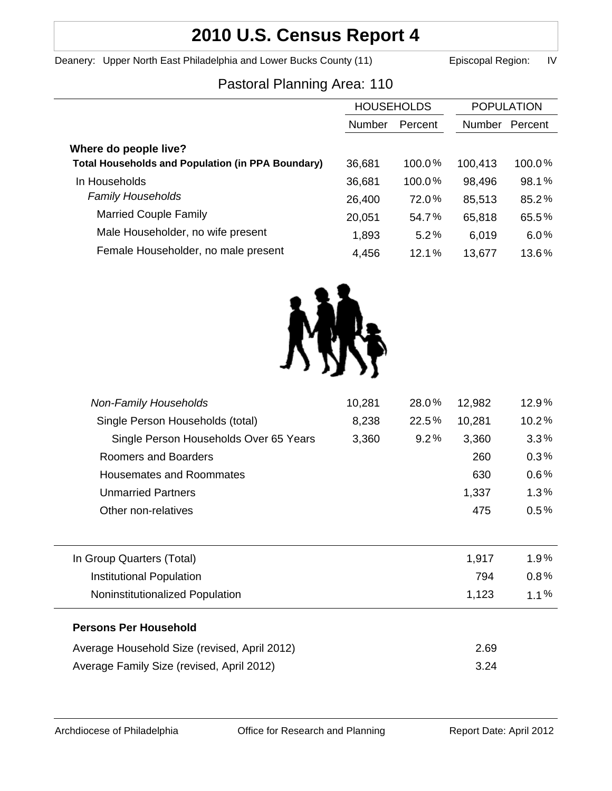# **2010 U.S. Census Report 4**

Deanery: Upper North East Philadelphia and Lower Bucks County (11) Episcopal Region: IV

## Pastoral Planning Area: 110

|                                                          | <b>HOUSEHOLDS</b> |           | <b>POPULATION</b> |         |
|----------------------------------------------------------|-------------------|-----------|-------------------|---------|
|                                                          | <b>Number</b>     | Percent   | <b>Number</b>     | Percent |
| Where do people live?                                    |                   |           |                   |         |
| <b>Total Households and Population (in PPA Boundary)</b> | 36,681            | $100.0\%$ | 100,413           | 100.0%  |
| In Households                                            | 36,681            | 100.0%    | 98,496            | 98.1%   |
| <b>Family Households</b>                                 | 26,400            | 72.0%     | 85,513            | 85.2%   |
| <b>Married Couple Family</b>                             | 20,051            | 54.7%     | 65,818            | 65.5%   |
| Male Householder, no wife present                        | 1,893             | 5.2%      | 6,019             | 6.0%    |
| Female Householder, no male present                      | 4,456             | 12.1%     | 13,677            | 13.6%   |



| <b>Non-Family Households</b>                 | 10,281 | 28.0% | 12,982 | 12.9%   |
|----------------------------------------------|--------|-------|--------|---------|
| Single Person Households (total)             | 8,238  | 22.5% | 10,281 | 10.2%   |
| Single Person Households Over 65 Years       | 3,360  | 9.2%  | 3,360  | 3.3%    |
| Roomers and Boarders                         |        |       | 260    | 0.3%    |
| <b>Housemates and Roommates</b>              |        |       | 630    | $0.6\%$ |
| <b>Unmarried Partners</b>                    |        |       | 1,337  | 1.3%    |
| Other non-relatives                          |        |       | 475    | $0.5\%$ |
|                                              |        |       |        |         |
| In Group Quarters (Total)                    |        |       | 1,917  | $1.9\%$ |
| <b>Institutional Population</b>              |        |       | 794    | $0.8\%$ |
| Noninstitutionalized Population              |        |       | 1,123  | $1.1\%$ |
| <b>Persons Per Household</b>                 |        |       |        |         |
| Average Household Size (revised, April 2012) |        |       | 2.69   |         |
| Average Family Size (revised, April 2012)    |        |       | 3.24   |         |
|                                              |        |       |        |         |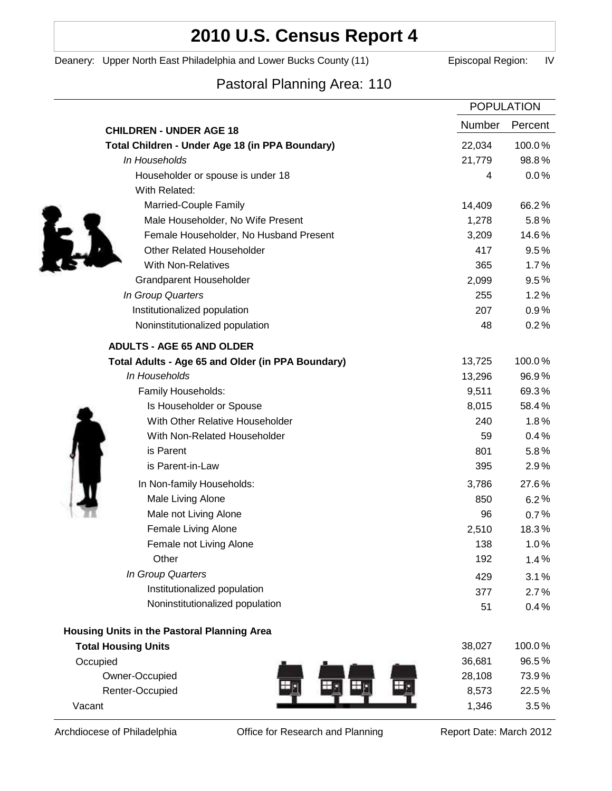## **2010 U.S. Census Report 4**

Deanery: Upper North East Philadelphia and Lower Bucks County (11) Episcopal Region: IV

## Pastoral Planning Area: 110

|                                                   | <b>POPULATION</b> |         |
|---------------------------------------------------|-------------------|---------|
| <b>CHILDREN - UNDER AGE 18</b>                    | Number            | Percent |
| Total Children - Under Age 18 (in PPA Boundary)   | 22,034            | 100.0%  |
| In Households                                     | 21,779            | 98.8%   |
| Householder or spouse is under 18                 | 4                 | 0.0%    |
| With Related:                                     |                   |         |
| Married-Couple Family                             | 14,409            | 66.2%   |
| Male Householder, No Wife Present                 | 1,278             | 5.8%    |
| Female Householder, No Husband Present            | 3,209             | 14.6%   |
| <b>Other Related Householder</b>                  | 417               | 9.5%    |
| <b>With Non-Relatives</b>                         | 365               | 1.7%    |
| Grandparent Householder                           | 2,099             | $9.5\%$ |
| In Group Quarters                                 | 255               | 1.2%    |
| Institutionalized population                      | 207               | 0.9%    |
| Noninstitutionalized population                   | 48                | 0.2%    |
| <b>ADULTS - AGE 65 AND OLDER</b>                  |                   |         |
| Total Adults - Age 65 and Older (in PPA Boundary) | 13,725            | 100.0%  |
| In Households                                     | 13,296            | 96.9%   |
| Family Households:                                | 9,511             | 69.3%   |
| Is Householder or Spouse                          | 8,015             | 58.4%   |
| With Other Relative Householder                   | 240               | 1.8%    |
| With Non-Related Householder                      | 59                | 0.4%    |
| is Parent                                         | 801               | 5.8%    |
| is Parent-in-Law                                  | 395               | 2.9%    |
| In Non-family Households:                         | 3,786             | 27.6%   |
| Male Living Alone                                 | 850               | 6.2%    |
| Male not Living Alone                             | 96                | $0.7\%$ |
| Female Living Alone                               | 2,510             | 18.3%   |
| Female not Living Alone                           | 138               | 1.0%    |
| Other                                             | 192               | 1.4%    |
| In Group Quarters                                 | 429               | 3.1%    |
| Institutionalized population                      | 377               | 2.7%    |
| Noninstitutionalized population                   | 51                | 0.4%    |
| Housing Units in the Pastoral Planning Area       |                   |         |
| <b>Total Housing Units</b>                        | 38,027            | 100.0%  |
| Occupied                                          | 36,681            | 96.5%   |
| Owner-Occupied                                    | 28,108            | 73.9%   |
| Renter-Occupied                                   | 8,573             | 22.5%   |
| Vacant                                            | 1,346             | 3.5%    |

Archdiocese of Philadelphia **Office for Research and Planning** Report Date: March 2012